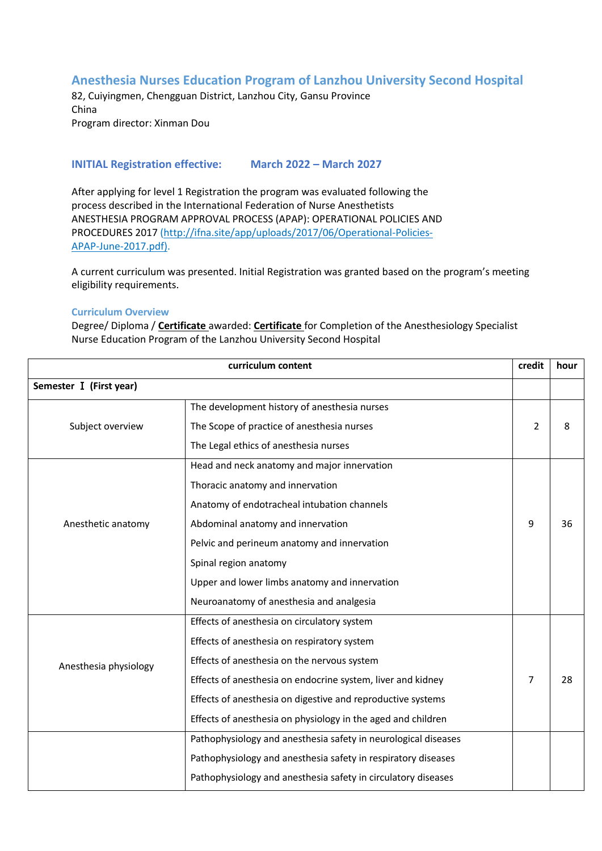## **Anesthesia Nurses Education Program of Lanzhou University Second Hospital**

82, Cuiyingmen, Chengguan District, Lanzhou City, Gansu Province China Program director: Xinman Dou

## **INITIAL Registration effective: March 2022 – March 2027**

After applying for level 1 Registration the program was evaluated following the process described in the International Federation of Nurse Anesthetists ANESTHESIA PROGRAM APPROVAL PROCESS (APAP): OPERATIONAL POLICIES AND PROCEDURES 2017 (http://ifna.site/app/uploads/2017/06/Operational-Policies-APAP-June-2017.pdf).

A current curriculum was presented. Initial Registration was granted based on the program's meeting eligibility requirements.

## **Curriculum Overview**

Degree/ Diploma / **Certificate** awarded: **Certificate** for Completion of the Anesthesiology Specialist Nurse Education Program of the Lanzhou University Second Hospital

| curriculum content      |                                                                | credit         | hour |
|-------------------------|----------------------------------------------------------------|----------------|------|
| Semester I (First year) |                                                                |                |      |
|                         | The development history of anesthesia nurses                   |                |      |
| Subject overview        | The Scope of practice of anesthesia nurses                     | 2              | 8    |
|                         | The Legal ethics of anesthesia nurses                          |                |      |
| Anesthetic anatomy      | Head and neck anatomy and major innervation                    |                |      |
|                         | Thoracic anatomy and innervation                               |                |      |
|                         | Anatomy of endotracheal intubation channels                    |                |      |
|                         | Abdominal anatomy and innervation                              | 9              | 36   |
|                         | Pelvic and perineum anatomy and innervation                    |                |      |
|                         | Spinal region anatomy                                          |                |      |
|                         | Upper and lower limbs anatomy and innervation                  |                |      |
|                         | Neuroanatomy of anesthesia and analgesia                       |                |      |
| Anesthesia physiology   | Effects of anesthesia on circulatory system                    |                |      |
|                         | Effects of anesthesia on respiratory system                    |                |      |
|                         | Effects of anesthesia on the nervous system                    |                |      |
|                         | Effects of anesthesia on endocrine system, liver and kidney    | $\overline{7}$ | 28   |
|                         | Effects of anesthesia on digestive and reproductive systems    |                |      |
|                         | Effects of anesthesia on physiology in the aged and children   |                |      |
|                         | Pathophysiology and anesthesia safety in neurological diseases |                |      |
|                         | Pathophysiology and anesthesia safety in respiratory diseases  |                |      |
|                         | Pathophysiology and anesthesia safety in circulatory diseases  |                |      |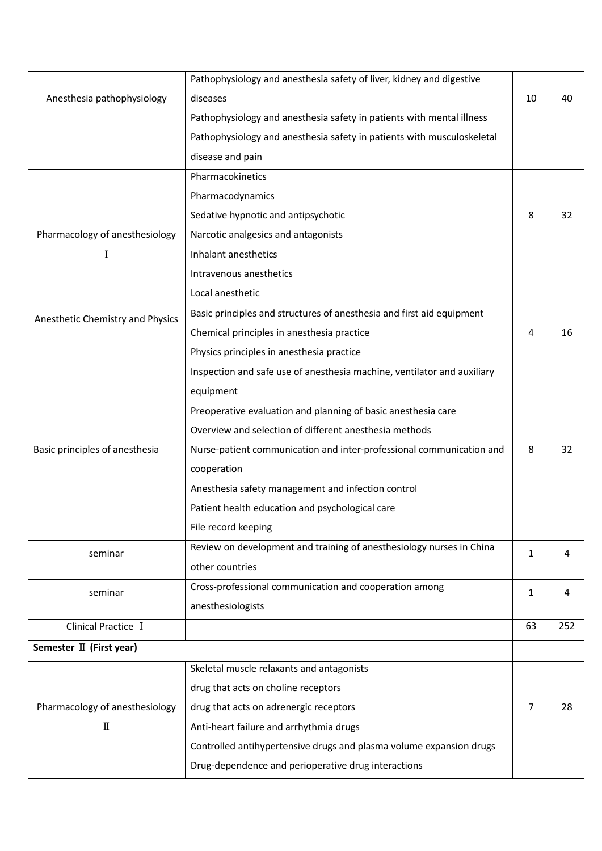|                                     | Pathophysiology and anesthesia safety of liver, kidney and digestive    |              |     |
|-------------------------------------|-------------------------------------------------------------------------|--------------|-----|
| Anesthesia pathophysiology          | diseases                                                                | 10           | 40  |
|                                     | Pathophysiology and anesthesia safety in patients with mental illness   |              |     |
|                                     | Pathophysiology and anesthesia safety in patients with musculoskeletal  |              |     |
|                                     | disease and pain                                                        |              |     |
|                                     | Pharmacokinetics                                                        |              |     |
|                                     | Pharmacodynamics                                                        |              |     |
|                                     | Sedative hypnotic and antipsychotic                                     | 8            | 32  |
| Pharmacology of anesthesiology      | Narcotic analgesics and antagonists                                     |              |     |
| I                                   | Inhalant anesthetics                                                    |              |     |
|                                     | Intravenous anesthetics                                                 |              |     |
|                                     | Local anesthetic                                                        |              |     |
| Anesthetic Chemistry and Physics    | Basic principles and structures of anesthesia and first aid equipment   |              |     |
|                                     | Chemical principles in anesthesia practice                              | 4            | 16  |
|                                     | Physics principles in anesthesia practice                               |              |     |
|                                     | Inspection and safe use of anesthesia machine, ventilator and auxiliary |              |     |
|                                     | equipment                                                               |              |     |
|                                     | Preoperative evaluation and planning of basic anesthesia care           |              |     |
|                                     | Overview and selection of different anesthesia methods                  |              |     |
| Basic principles of anesthesia      | Nurse-patient communication and inter-professional communication and    | 8            | 32  |
|                                     | cooperation                                                             |              |     |
|                                     | Anesthesia safety management and infection control                      |              |     |
|                                     | Patient health education and psychological care                         |              |     |
|                                     | File record keeping                                                     |              |     |
| seminar                             | Review on development and training of anesthesiology nurses in China    | 1            | 4   |
|                                     | other countries                                                         |              |     |
| seminar                             | Cross-professional communication and cooperation among                  | $\mathbf{1}$ | 4   |
|                                     | anesthesiologists                                                       |              |     |
| Clinical Practice I                 |                                                                         | 63           | 252 |
| Semester II (First year)            |                                                                         |              |     |
|                                     | Skeletal muscle relaxants and antagonists                               |              |     |
| Pharmacology of anesthesiology<br>Π | drug that acts on choline receptors                                     |              |     |
|                                     | drug that acts on adrenergic receptors                                  | 7            | 28  |
|                                     | Anti-heart failure and arrhythmia drugs                                 |              |     |
|                                     | Controlled antihypertensive drugs and plasma volume expansion drugs     |              |     |
|                                     | Drug-dependence and perioperative drug interactions                     |              |     |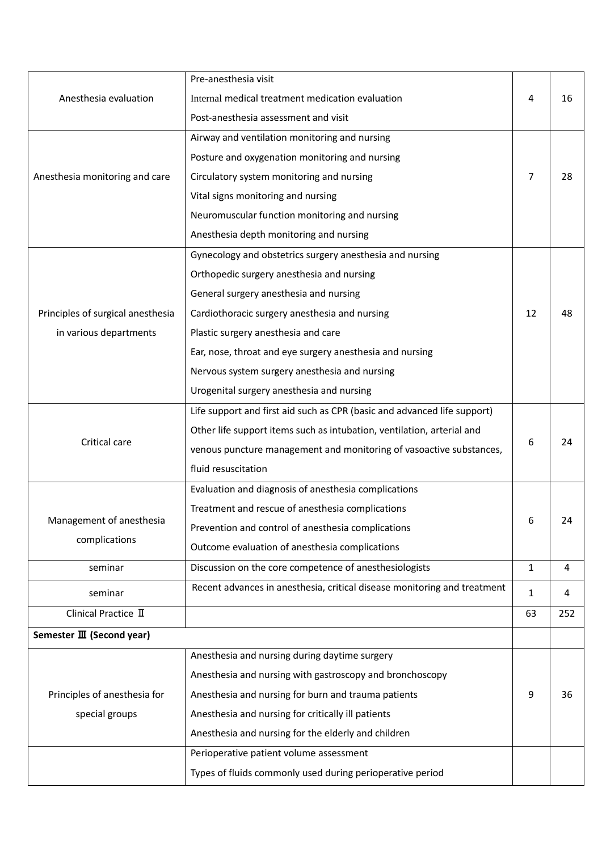|                                   | Pre-anesthesia visit                                                     |              |     |
|-----------------------------------|--------------------------------------------------------------------------|--------------|-----|
| Anesthesia evaluation             | Internal medical treatment medication evaluation                         | 4            | 16  |
|                                   | Post-anesthesia assessment and visit                                     |              |     |
|                                   | Airway and ventilation monitoring and nursing                            |              |     |
|                                   | Posture and oxygenation monitoring and nursing                           |              |     |
| Anesthesia monitoring and care    | Circulatory system monitoring and nursing                                | 7            | 28  |
|                                   | Vital signs monitoring and nursing                                       |              |     |
|                                   | Neuromuscular function monitoring and nursing                            |              |     |
|                                   | Anesthesia depth monitoring and nursing                                  |              |     |
|                                   | Gynecology and obstetrics surgery anesthesia and nursing                 |              |     |
|                                   | Orthopedic surgery anesthesia and nursing                                |              |     |
|                                   | General surgery anesthesia and nursing                                   |              |     |
| Principles of surgical anesthesia | Cardiothoracic surgery anesthesia and nursing                            | 12           | 48  |
| in various departments            | Plastic surgery anesthesia and care                                      |              |     |
|                                   | Ear, nose, throat and eye surgery anesthesia and nursing                 |              |     |
|                                   | Nervous system surgery anesthesia and nursing                            |              |     |
|                                   | Urogenital surgery anesthesia and nursing                                |              |     |
|                                   | Life support and first aid such as CPR (basic and advanced life support) |              |     |
|                                   | Other life support items such as intubation, ventilation, arterial and   | 6            | 24  |
| Critical care                     | venous puncture management and monitoring of vasoactive substances,      |              |     |
|                                   | fluid resuscitation                                                      |              |     |
|                                   | Evaluation and diagnosis of anesthesia complications                     |              |     |
|                                   | Treatment and rescue of anesthesia complications                         |              |     |
| Management of anesthesia          | Prevention and control of anesthesia complications                       | 6            | 24  |
| complications                     | Outcome evaluation of anesthesia complications                           |              |     |
| seminar                           | Discussion on the core competence of anesthesiologists                   | $\mathbf{1}$ | 4   |
| seminar                           | Recent advances in anesthesia, critical disease monitoring and treatment | 1            | 4   |
| Clinical Practice II              |                                                                          | 63           | 252 |
| Semester III (Second year)        |                                                                          |              |     |
|                                   | Anesthesia and nursing during daytime surgery                            |              |     |
|                                   | Anesthesia and nursing with gastroscopy and bronchoscopy                 |              |     |
| Principles of anesthesia for      | Anesthesia and nursing for burn and trauma patients                      | 9            | 36  |
| special groups                    | Anesthesia and nursing for critically ill patients                       |              |     |
|                                   | Anesthesia and nursing for the elderly and children                      |              |     |
|                                   | Perioperative patient volume assessment                                  |              |     |
|                                   | Types of fluids commonly used during perioperative period                |              |     |